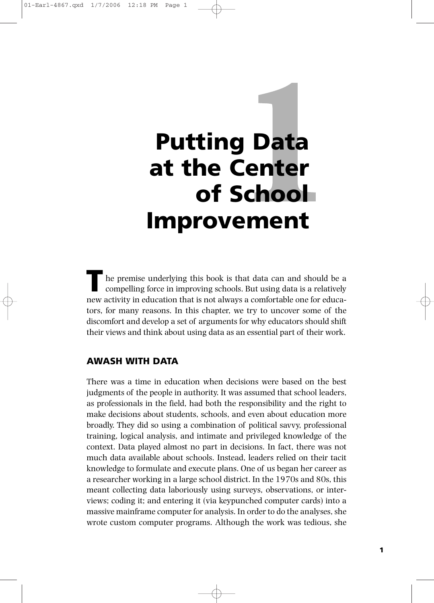**T** he premise underlying this book is that data can and should be a compelling force in improving schools. But using data is a relatively new activity in education that is not always a comfortable one for educators, for many reasons. In this chapter, we try to uncover some of the discomfort and develop a set of arguments for why educators should shift their views and think about using data as an essential part of their work.

# **AWASH WITH DATA**

There was a time in education when decisions were based on the best judgments of the people in authority. It was assumed that school leaders, as professionals in the field, had both the responsibility and the right to make decisions about students, schools, and even about education more broadly. They did so using a combination of political savvy, professional training, logical analysis, and intimate and privileged knowledge of the context. Data played almost no part in decisions. In fact, there was not much data available about schools. Instead, leaders relied on their tacit knowledge to formulate and execute plans. One of us began her career as a researcher working in a large school district. In the 1970s and 80s, this meant collecting data laboriously using surveys, observations, or interviews; coding it; and entering it (via keypunched computer cards) into a massive mainframe computer for analysis. In order to do the analyses, she wrote custom computer programs. Although the work was tedious, she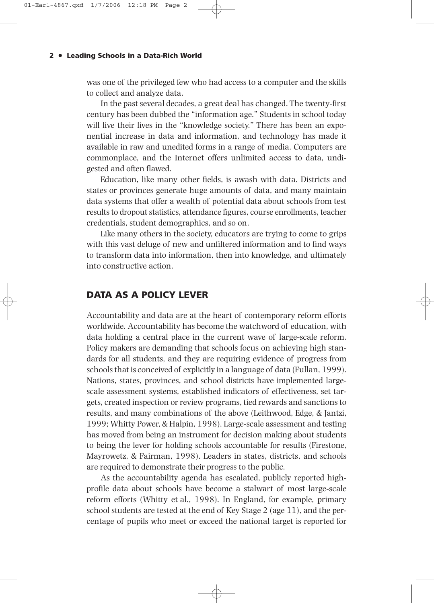was one of the privileged few who had access to a computer and the skills to collect and analyze data.

In the past several decades, a great deal has changed. The twenty-first century has been dubbed the "information age." Students in school today will live their lives in the "knowledge society." There has been an exponential increase in data and information, and technology has made it available in raw and unedited forms in a range of media. Computers are commonplace, and the Internet offers unlimited access to data, undigested and often flawed.

Education, like many other fields, is awash with data. Districts and states or provinces generate huge amounts of data, and many maintain data systems that offer a wealth of potential data about schools from test results to dropout statistics, attendance figures, course enrollments, teacher credentials, student demographics, and so on.

Like many others in the society, educators are trying to come to grips with this vast deluge of new and unfiltered information and to find ways to transform data into information, then into knowledge, and ultimately into constructive action.

# **DATA AS A POLICY LEVER**

Accountability and data are at the heart of contemporary reform efforts worldwide. Accountability has become the watchword of education, with data holding a central place in the current wave of large-scale reform. Policy makers are demanding that schools focus on achieving high standards for all students, and they are requiring evidence of progress from schools that is conceived of explicitly in a language of data (Fullan, 1999). Nations, states, provinces, and school districts have implemented largescale assessment systems, established indicators of effectiveness, set targets, created inspection or review programs, tied rewards and sanctions to results, and many combinations of the above (Leithwood, Edge, & Jantzi, 1999; Whitty Power, & Halpin, 1998). Large-scale assessment and testing has moved from being an instrument for decision making about students to being the lever for holding schools accountable for results (Firestone, Mayrowetz, & Fairman, 1998). Leaders in states, districts, and schools are required to demonstrate their progress to the public.

As the accountability agenda has escalated, publicly reported highprofile data about schools have become a stalwart of most large-scale reform efforts (Whitty et al., 1998). In England, for example, primary school students are tested at the end of Key Stage 2 (age 11), and the percentage of pupils who meet or exceed the national target is reported for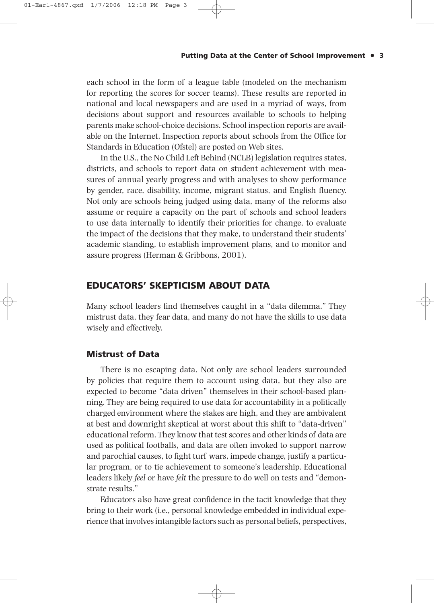each school in the form of a league table (modeled on the mechanism for reporting the scores for soccer teams). These results are reported in national and local newspapers and are used in a myriad of ways, from decisions about support and resources available to schools to helping parents make school-choice decisions. School inspection reports are available on the Internet. Inspection reports about schools from the Office for Standards in Education (Ofstel) are posted on Web sites.

In the U.S., the No Child Left Behind (NCLB) legislation requires states, districts, and schools to report data on student achievement with measures of annual yearly progress and with analyses to show performance by gender, race, disability, income, migrant status, and English fluency. Not only are schools being judged using data, many of the reforms also assume or require a capacity on the part of schools and school leaders to use data internally to identify their priorities for change, to evaluate the impact of the decisions that they make, to understand their students' academic standing, to establish improvement plans, and to monitor and assure progress (Herman & Gribbons, 2001).

# **EDUCATORS' SKEPTICISM ABOUT DATA**

Many school leaders find themselves caught in a "data dilemma." They mistrust data, they fear data, and many do not have the skills to use data wisely and effectively.

# **Mistrust of Data**

There is no escaping data. Not only are school leaders surrounded by policies that require them to account using data, but they also are expected to become "data driven" themselves in their school-based planning. They are being required to use data for accountability in a politically charged environment where the stakes are high, and they are ambivalent at best and downright skeptical at worst about this shift to "data-driven" educational reform. They know that test scores and other kinds of data are used as political footballs, and data are often invoked to support narrow and parochial causes, to fight turf wars, impede change, justify a particular program, or to tie achievement to someone's leadership. Educational leaders likely *feel* or have *felt* the pressure to do well on tests and "demonstrate results."

Educators also have great confidence in the tacit knowledge that they bring to their work (i.e., personal knowledge embedded in individual experience that involves intangible factors such as personal beliefs, perspectives,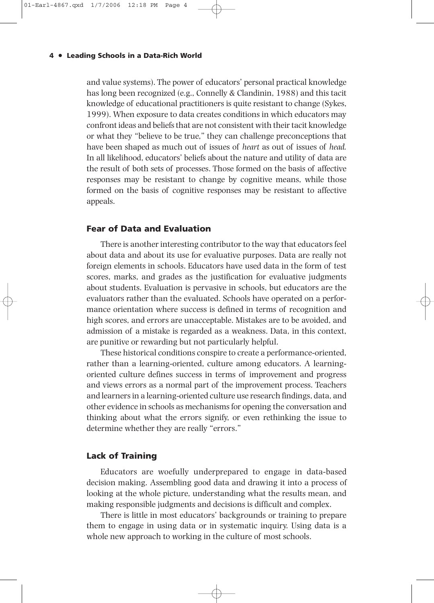and value systems). The power of educators' personal practical knowledge has long been recognized (e.g., Connelly & Clandinin, 1988) and this tacit knowledge of educational practitioners is quite resistant to change (Sykes, 1999). When exposure to data creates conditions in which educators may confront ideas and beliefs that are not consistent with their tacit knowledge or what they "believe to be true," they can challenge preconceptions that have been shaped as much out of issues of *heart* as out of issues of *head.* In all likelihood, educators' beliefs about the nature and utility of data are the result of both sets of processes. Those formed on the basis of affective responses may be resistant to change by cognitive means, while those formed on the basis of cognitive responses may be resistant to affective appeals.

## **Fear of Data and Evaluation**

There is another interesting contributor to the way that educators feel about data and about its use for evaluative purposes. Data are really not foreign elements in schools. Educators have used data in the form of test scores, marks, and grades as the justification for evaluative judgments about students. Evaluation is pervasive in schools, but educators are the evaluators rather than the evaluated. Schools have operated on a performance orientation where success is defined in terms of recognition and high scores, and errors are unacceptable. Mistakes are to be avoided, and admission of a mistake is regarded as a weakness. Data, in this context, are punitive or rewarding but not particularly helpful.

These historical conditions conspire to create a performance-oriented, rather than a learning-oriented, culture among educators. A learningoriented culture defines success in terms of improvement and progress and views errors as a normal part of the improvement process. Teachers and learners in a learning-oriented culture use research findings, data, and other evidence in schools as mechanisms for opening the conversation and thinking about what the errors signify, or even rethinking the issue to determine whether they are really "errors."

## **Lack of Training**

Educators are woefully underprepared to engage in data-based decision making. Assembling good data and drawing it into a process of looking at the whole picture, understanding what the results mean, and making responsible judgments and decisions is difficult and complex.

There is little in most educators' backgrounds or training to prepare them to engage in using data or in systematic inquiry. Using data is a whole new approach to working in the culture of most schools.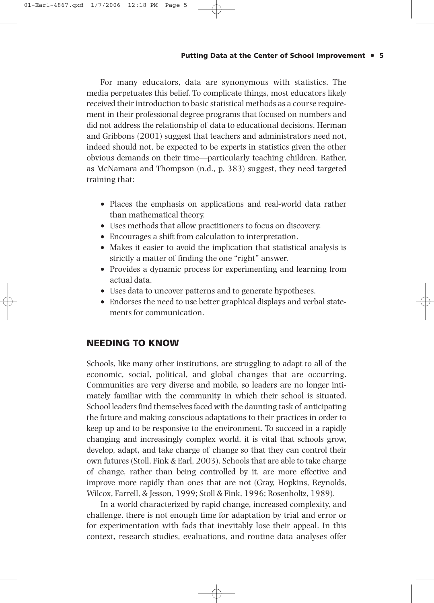For many educators, data are synonymous with statistics. The media perpetuates this belief. To complicate things, most educators likely received their introduction to basic statistical methods as a course requirement in their professional degree programs that focused on numbers and did not address the relationship of data to educational decisions. Herman and Gribbons (2001) suggest that teachers and administrators need not, indeed should not, be expected to be experts in statistics given the other obvious demands on their time—particularly teaching children. Rather, as McNamara and Thompson (n.d., p. 383) suggest, they need targeted training that:

- Places the emphasis on applications and real-world data rather than mathematical theory.
- Uses methods that allow practitioners to focus on discovery.
- Encourages a shift from calculation to interpretation.
- Makes it easier to avoid the implication that statistical analysis is strictly a matter of finding the one "right" answer.
- Provides a dynamic process for experimenting and learning from actual data.
- Uses data to uncover patterns and to generate hypotheses.
- Endorses the need to use better graphical displays and verbal statements for communication.

# **NEEDING TO KNOW**

Schools, like many other institutions, are struggling to adapt to all of the economic, social, political, and global changes that are occurring. Communities are very diverse and mobile, so leaders are no longer intimately familiar with the community in which their school is situated. School leaders find themselves faced with the daunting task of anticipating the future and making conscious adaptations to their practices in order to keep up and to be responsive to the environment. To succeed in a rapidly changing and increasingly complex world, it is vital that schools grow, develop, adapt, and take charge of change so that they can control their own futures (Stoll, Fink & Earl, 2003). Schools that are able to take charge of change, rather than being controlled by it, are more effective and improve more rapidly than ones that are not (Gray, Hopkins, Reynolds, Wilcox, Farrell, & Jesson, 1999; Stoll & Fink, 1996; Rosenholtz, 1989).

In a world characterized by rapid change, increased complexity, and challenge, there is not enough time for adaptation by trial and error or for experimentation with fads that inevitably lose their appeal. In this context, research studies, evaluations, and routine data analyses offer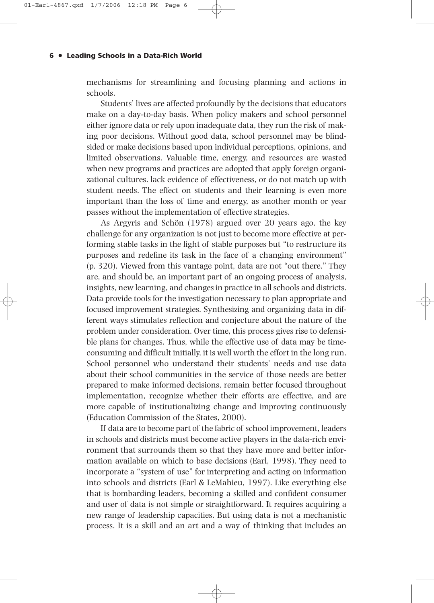mechanisms for streamlining and focusing planning and actions in schools.

Students' lives are affected profoundly by the decisions that educators make on a day-to-day basis. When policy makers and school personnel either ignore data or rely upon inadequate data, they run the risk of making poor decisions. Without good data, school personnel may be blindsided or make decisions based upon individual perceptions, opinions, and limited observations. Valuable time, energy, and resources are wasted when new programs and practices are adopted that apply foreign organizational cultures. lack evidence of effectiveness, or do not match up with student needs. The effect on students and their learning is even more important than the loss of time and energy, as another month or year passes without the implementation of effective strategies.

As Argyris and Schön (1978) argued over 20 years ago, the key challenge for any organization is not just to become more effective at performing stable tasks in the light of stable purposes but "to restructure its purposes and redefine its task in the face of a changing environment" (p. 320). Viewed from this vantage point, data are not "out there." They are, and should be, an important part of an ongoing process of analysis, insights, new learning, and changes in practice in all schools and districts. Data provide tools for the investigation necessary to plan appropriate and focused improvement strategies. Synthesizing and organizing data in different ways stimulates reflection and conjecture about the nature of the problem under consideration. Over time, this process gives rise to defensible plans for changes. Thus, while the effective use of data may be timeconsuming and difficult initially, it is well worth the effort in the long run. School personnel who understand their students' needs and use data about their school communities in the service of those needs are better prepared to make informed decisions, remain better focused throughout implementation, recognize whether their efforts are effective, and are more capable of institutionalizing change and improving continuously (Education Commission of the States, 2000).

If data are to become part of the fabric of school improvement, leaders in schools and districts must become active players in the data-rich environment that surrounds them so that they have more and better information available on which to base decisions (Earl, 1998). They need to incorporate a "system of use" for interpreting and acting on information into schools and districts (Earl & LeMahieu, 1997). Like everything else that is bombarding leaders, becoming a skilled and confident consumer and user of data is not simple or straightforward. It requires acquiring a new range of leadership capacities. But using data is not a mechanistic process. It is a skill and an art and a way of thinking that includes an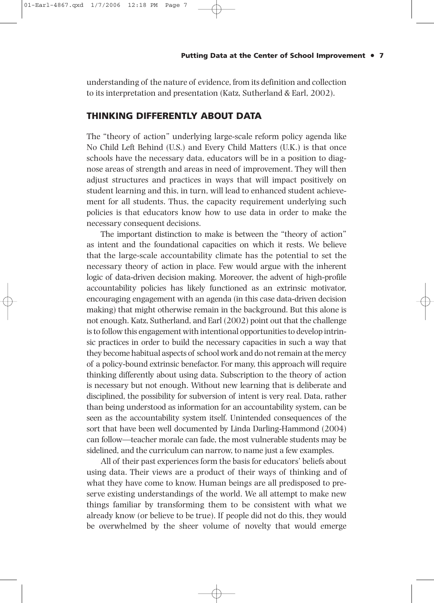understanding of the nature of evidence, from its definition and collection to its interpretation and presentation (Katz, Sutherland & Earl, 2002).

# **THINKING DIFFERENTLY ABOUT DATA**

The "theory of action" underlying large-scale reform policy agenda like No Child Left Behind (U.S.) and Every Child Matters (U.K.) is that once schools have the necessary data, educators will be in a position to diagnose areas of strength and areas in need of improvement. They will then adjust structures and practices in ways that will impact positively on student learning and this, in turn, will lead to enhanced student achievement for all students. Thus, the capacity requirement underlying such policies is that educators know how to use data in order to make the necessary consequent decisions.

The important distinction to make is between the "theory of action" as intent and the foundational capacities on which it rests. We believe that the large-scale accountability climate has the potential to set the necessary theory of action in place. Few would argue with the inherent logic of data-driven decision making. Moreover, the advent of high-profile accountability policies has likely functioned as an extrinsic motivator, encouraging engagement with an agenda (in this case data-driven decision making) that might otherwise remain in the background. But this alone is not enough. Katz, Sutherland, and Earl (2002) point out that the challenge is to follow this engagement with intentional opportunities to develop intrinsic practices in order to build the necessary capacities in such a way that they become habitual aspects of school work and do not remain at the mercy of a policy-bound extrinsic benefactor. For many, this approach will require thinking differently about using data. Subscription to the theory of action is necessary but not enough. Without new learning that is deliberate and disciplined, the possibility for subversion of intent is very real. Data, rather than being understood as information for an accountability system, can be seen as the accountability system itself. Unintended consequences of the sort that have been well documented by Linda Darling-Hammond (2004) can follow—teacher morale can fade, the most vulnerable students may be sidelined, and the curriculum can narrow, to name just a few examples.

All of their past experiences form the basis for educators' beliefs about using data. Their views are a product of their ways of thinking and of what they have come to know. Human beings are all predisposed to preserve existing understandings of the world. We all attempt to make new things familiar by transforming them to be consistent with what we already know (or believe to be true). If people did not do this, they would be overwhelmed by the sheer volume of novelty that would emerge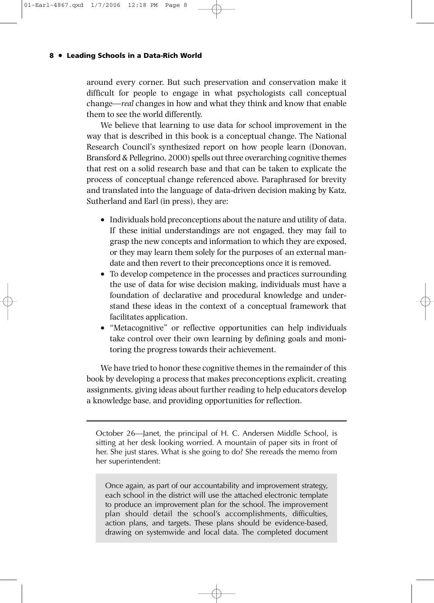around every corner. But such preservation and conservation make it difficult for people to engage in what psychologists call conceptual change—*real* changes in how and what they think and know that enable them to see the world differently.

We believe that learning to use data for school improvement in the way that is described in this book is a conceptual change. The National Research Council's synthesized report on how people learn (Donovan, Bransford & Pellegrino, 2000) spells out three overarching cognitive themes that rest on a solid research base and that can be taken to explicate the process of conceptual change referenced above. Paraphrased for brevity and translated into the language of data-driven decision making by Katz, Sutherland and Earl (in press), they are:

- Individuals hold preconceptions about the nature and utility of data. If these initial understandings are not engaged, they may fail to grasp the new concepts and information to which they are exposed, or they may learn them solely for the purposes of an external mandate and then revert to their preconceptions once it is removed.
- To develop competence in the processes and practices surrounding the use of data for wise decision making, individuals must have a foundation of declarative and procedural knowledge and understand these ideas in the context of a conceptual framework that facilitates application.
- "Metacognitive" or reflective opportunities can help individuals take control over their own learning by defining goals and monitoring the progress towards their achievement.

We have tried to honor these cognitive themes in the remainder of this book by developing a process that makes preconceptions explicit, creating assignments, giving ideas about further reading to help educators develop a knowledge base, and providing opportunities for reflection.

October 26—Janet, the principal of H. C. Andersen Middle School, is sitting at her desk looking worried. A mountain of paper sits in front of her. She just stares. What is she going to do? She rereads the memo from her superintendent:

Once again, as part of our accountability and improvement strategy, each school in the district will use the attached electronic template to produce an improvement plan for the school. The improvement plan should detail the school's accomplishments, difficulties, action plans, and targets. These plans should be evidence-based, drawing on systemwide and local data. The completed document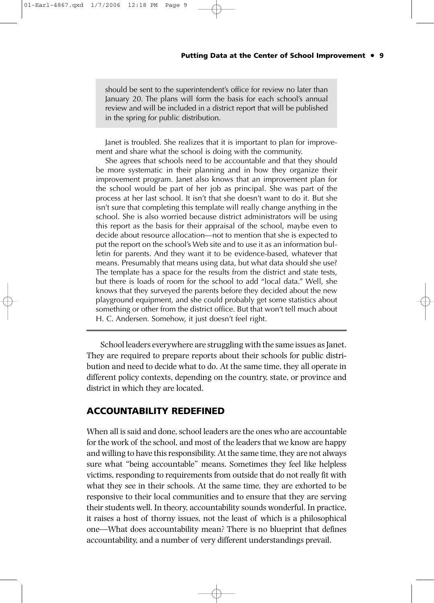should be sent to the superintendent's office for review no later than January 20. The plans will form the basis for each school's annual review and will be included in a district report that will be published in the spring for public distribution.

Janet is troubled. She realizes that it is important to plan for improvement and share what the school is doing with the community.

She agrees that schools need to be accountable and that they should be more systematic in their planning and in how they organize their improvement program. Janet also knows that an improvement plan for the school would be part of her job as principal. She was part of the process at her last school. It isn't that she doesn't want to do it. But she isn't sure that completing this template will really change anything in the school. She is also worried because district administrators will be using this report as the basis for their appraisal of the school, maybe even to decide about resource allocation—not to mention that she is expected to put the report on the school's Web site and to use it as an information bulletin for parents. And they want it to be evidence-based, whatever that means. Presumably that means using data, but what data should she use? The template has a space for the results from the district and state tests, but there is loads of room for the school to add "local data." Well, she knows that they surveyed the parents before they decided about the new playground equipment, and she could probably get some statistics about something or other from the district office. But that won't tell much about H. C. Andersen. Somehow, it just doesn't feel right.

School leaders everywhere are struggling with the same issues as Janet. They are required to prepare reports about their schools for public distribution and need to decide what to do. At the same time, they all operate in different policy contexts, depending on the country, state, or province and district in which they are located.

# **ACCOUNTABILITY REDEFINED**

When all is said and done, school leaders are the ones who are accountable for the work of the school, and most of the leaders that we know are happy and willing to have this responsibility. At the same time, they are not always sure what "being accountable" means. Sometimes they feel like helpless victims, responding to requirements from outside that do not really fit with what they see in their schools. At the same time, they are exhorted to be responsive to their local communities and to ensure that they are serving their students well. In theory, accountability sounds wonderful. In practice, it raises a host of thorny issues, not the least of which is a philosophical one—What does accountability mean? There is no blueprint that defines accountability, and a number of very different understandings prevail.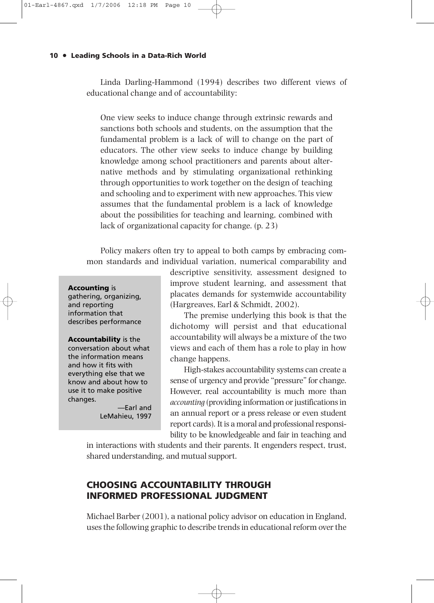Linda Darling-Hammond (1994) describes two different views of educational change and of accountability:

One view seeks to induce change through extrinsic rewards and sanctions both schools and students, on the assumption that the fundamental problem is a lack of will to change on the part of educators. The other view seeks to induce change by building knowledge among school practitioners and parents about alternative methods and by stimulating organizational rethinking through opportunities to work together on the design of teaching and schooling and to experiment with new approaches. This view assumes that the fundamental problem is a lack of knowledge about the possibilities for teaching and learning, combined with lack of organizational capacity for change. (p. 23)

Policy makers often try to appeal to both camps by embracing common standards and individual variation, numerical comparability and

**Accounting** is gathering, organizing, and reporting information that describes performance

**Accountability** is the conversation about what the information means and how it fits with everything else that we know and about how to use it to make positive changes.

—Earl and LeMahieu, 1997

descriptive sensitivity, assessment designed to improve student learning, and assessment that placates demands for systemwide accountability (Hargreaves, Earl & Schmidt, 2002).

The premise underlying this book is that the dichotomy will persist and that educational accountability will always be a mixture of the two views and each of them has a role to play in how change happens.

High-stakes accountability systems can create a sense of urgency and provide "pressure" for change. However, real accountability is much more than *accounting* (providing information or justifications in an annual report or a press release or even student report cards)*.* It is a moral and professional responsibility to be knowledgeable and fair in teaching and

in interactions with students and their parents. It engenders respect, trust, shared understanding, and mutual support.

# **CHOOSING ACCOUNTABILITY THROUGH INFORMED PROFESSIONAL JUDGMENT**

Michael Barber (2001), a national policy advisor on education in England, uses the following graphic to describe trends in educational reform over the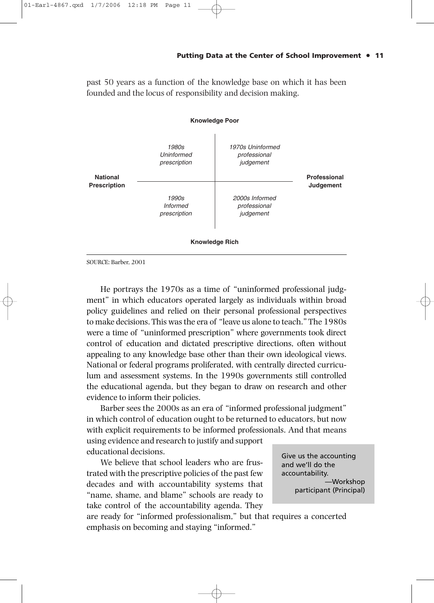past 50 years as a function of the knowledge base on which it has been founded and the locus of responsibility and decision making.

#### **Knowledge Poor**



SOURCE: Barber, 2001

He portrays the 1970s as a time of "uninformed professional judgment" in which educators operated largely as individuals within broad policy guidelines and relied on their personal professional perspectives to make decisions. This was the era of "leave us alone to teach." The 1980s were a time of "uninformed prescription" where governments took direct control of education and dictated prescriptive directions, often without appealing to any knowledge base other than their own ideological views. National or federal programs proliferated, with centrally directed curriculum and assessment systems. In the 1990s governments still controlled the educational agenda, but they began to draw on research and other evidence to inform their policies.

Barber sees the 2000s as an era of "informed professional judgment" in which control of education ought to be returned to educators, but now with explicit requirements to be informed professionals. And that means

using evidence and research to justify and support educational decisions.

We believe that school leaders who are frustrated with the prescriptive policies of the past few decades and with accountability systems that "name, shame, and blame" schools are ready to take control of the accountability agenda. They

Give us the accounting and we'll do the accountability. —Workshop participant (Principal)

are ready for "informed professionalism," but that requires a concerted emphasis on becoming and staying "informed."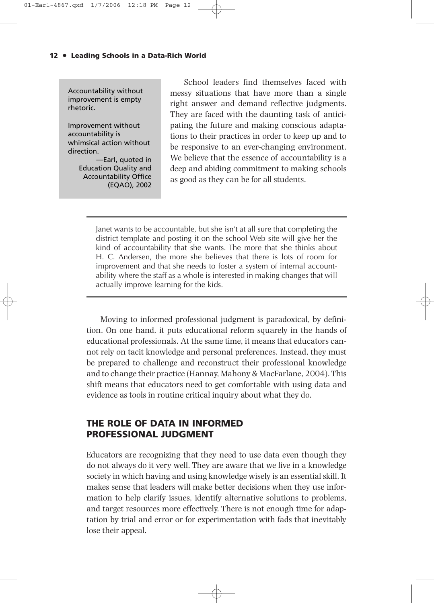Accountability without improvement is empty rhetoric.

Improvement without accountability is whimsical action without direction.

> —Earl, quoted in Education Quality and Accountability Office (EQAO), 2002

School leaders find themselves faced with messy situations that have more than a single right answer and demand reflective judgments. They are faced with the daunting task of anticipating the future and making conscious adaptations to their practices in order to keep up and to be responsive to an ever-changing environment. We believe that the essence of accountability is a deep and abiding commitment to making schools as good as they can be for all students.

Janet wants to be accountable, but she isn't at all sure that completing the district template and posting it on the school Web site will give her the kind of accountability that she wants. The more that she thinks about H. C. Andersen, the more she believes that there is lots of room for improvement and that she needs to foster a system of internal accountability where the staff as a whole is interested in making changes that will actually improve learning for the kids.

Moving to informed professional judgment is paradoxical, by definition. On one hand, it puts educational reform squarely in the hands of educational professionals. At the same time, it means that educators cannot rely on tacit knowledge and personal preferences. Instead, they must be prepared to challenge and reconstruct their professional knowledge and to change their practice (Hannay, Mahony & MacFarlane, 2004). This shift means that educators need to get comfortable with using data and evidence as tools in routine critical inquiry about what they do.

# **THE ROLE OF DATA IN INFORMED PROFESSIONAL JUDGMENT**

Educators are recognizing that they need to use data even though they do not always do it very well. They are aware that we live in a knowledge society in which having and using knowledge wisely is an essential skill. It makes sense that leaders will make better decisions when they use information to help clarify issues, identify alternative solutions to problems, and target resources more effectively. There is not enough time for adaptation by trial and error or for experimentation with fads that inevitably lose their appeal.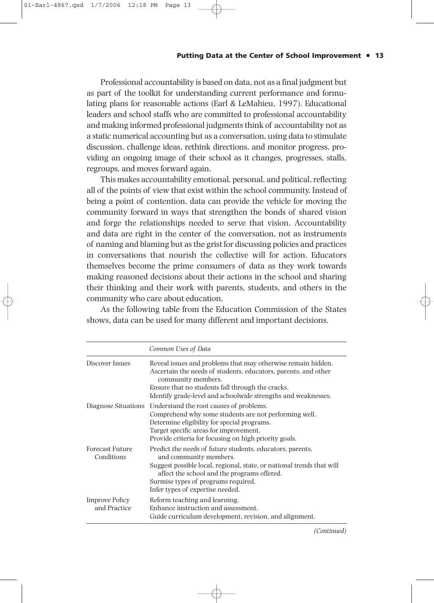Professional accountability is based on data, not as a final judgment but as part of the toolkit for understanding current performance and formulating plans for reasonable actions (Earl & LeMahieu, 1997). Educational leaders and school staffs who are committed to professional accountability and making informed professional judgments think of accountability not as a static numerical accounting but as a conversation, using data to stimulate discussion, challenge ideas, rethink directions, and monitor progress, providing an ongoing image of their school as it changes, progresses, stalls, regroups, and moves forward again.

This makes accountability emotional, personal, and political, reflecting all of the points of view that exist within the school community. Instead of being a point of contention, data can provide the vehicle for moving the community forward in ways that strengthen the bonds of shared vision and forge the relationships needed to serve that vision. Accountability and data are right in the center of the conversation, not as instruments of naming and blaming but as the grist for discussing policies and practices in conversations that nourish the collective will for action. Educators themselves become the prime consumers of data as they work towards making reasoned decisions about their actions in the school and sharing their thinking and their work with parents, students, and others in the community who care about education.

As the following table from the Education Commission of the States shows, data can be used for many different and important decisions.

|                                       | Common Uses of Data                                                                                                                                                                                                                                                                    |
|---------------------------------------|----------------------------------------------------------------------------------------------------------------------------------------------------------------------------------------------------------------------------------------------------------------------------------------|
| Discover Issues                       | Reveal issues and problems that may otherwise remain hidden.<br>Ascertain the needs of students, educators, parents, and other<br>community members.<br>Ensure that no students fall through the cracks.<br>Identify grade-level and schoolwide strengths and weaknesses.              |
| Diagnose Situations                   | Understand the root causes of problems.<br>Comprehend why some students are not performing well.<br>Determine eligibility for special programs.<br>Target specific areas for improvement.<br>Provide criteria for focusing on high priority goals.                                     |
| Forecast Future<br>Conditions         | Predict the needs of future students, educators, parents,<br>and community members.<br>Suggest possible local, regional, state, or national trends that will<br>affect the school and the programs offered.<br>Surmise types of programs required.<br>Infer types of expertise needed. |
| <b>Improve Policy</b><br>and Practice | Reform teaching and learning.<br>Enhance instruction and assessment.<br>Guide curriculum development, revision, and alignment.                                                                                                                                                         |

*(Continued)*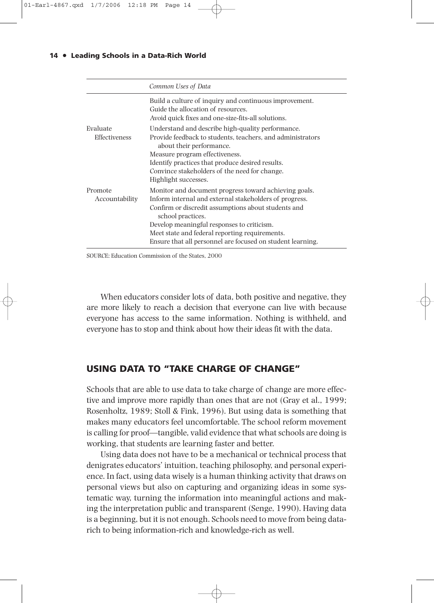|                           | Common Uses of Data                                                                                                                                                                                                                                                                                                                                       |
|---------------------------|-----------------------------------------------------------------------------------------------------------------------------------------------------------------------------------------------------------------------------------------------------------------------------------------------------------------------------------------------------------|
|                           | Build a culture of inquiry and continuous improvement.<br>Guide the allocation of resources.<br>Avoid quick fixes and one-size-fits-all solutions.                                                                                                                                                                                                        |
| Evaluate<br>Effectiveness | Understand and describe high-quality performance.<br>Provide feedback to students, teachers, and administrators<br>about their performance.<br>Measure program effectiveness.<br>Identify practices that produce desired results.<br>Convince stakeholders of the need for change.<br>Highlight successes.                                                |
| Promote<br>Accountability | Monitor and document progress toward achieving goals.<br>Inform internal and external stakeholders of progress.<br>Confirm or discredit assumptions about students and<br>school practices.<br>Develop meaningful responses to criticism.<br>Meet state and federal reporting requirements.<br>Ensure that all personnel are focused on student learning. |

SOURCE: Education Commission of the States, 2000

When educators consider lots of data, both positive and negative, they are more likely to reach a decision that everyone can live with because everyone has access to the same information. Nothing is withheld, and everyone has to stop and think about how their ideas fit with the data.

## **USING DATA TO "TAKE CHARGE OF CHANGE"**

Schools that are able to use data to take charge of change are more effective and improve more rapidly than ones that are not (Gray et al., 1999; Rosenholtz, 1989; Stoll & Fink, 1996). But using data is something that makes many educators feel uncomfortable. The school reform movement is calling for proof—tangible, valid evidence that what schools are doing is working, that students are learning faster and better.

Using data does not have to be a mechanical or technical process that denigrates educators' intuition, teaching philosophy, and personal experience. In fact, using data wisely is a human thinking activity that draws on personal views but also on capturing and organizing ideas in some systematic way, turning the information into meaningful actions and making the interpretation public and transparent (Senge, 1990). Having data is a beginning, but it is not enough. Schools need to move from being datarich to being information-rich and knowledge-rich as well.